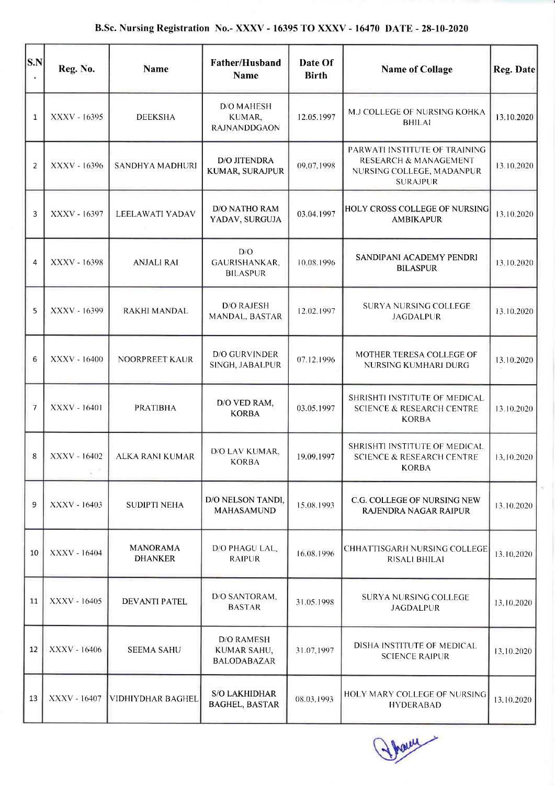| $ {\bf S}.{\bf N} $ | Reg. No.     | Name                              | Father/Husband<br><b>Name</b>                          | Date Of<br><b>Birth</b> | <b>Name of Collage</b>                                                                                            | Reg. Date  |
|---------------------|--------------|-----------------------------------|--------------------------------------------------------|-------------------------|-------------------------------------------------------------------------------------------------------------------|------------|
| 1                   | XXXV - 16395 | <b>DEEKSHA</b>                    | D/O MAHESH<br>KUMAR,<br><b>RAJNANDDGAON</b>            | 12.05.1997              | M.J COLLEGE OF NURSING KOHKA<br><b>BHILAI</b>                                                                     | 13.10.2020 |
| $\overline{2}$      | XXXV - 16396 | SANDHYA MADHURI                   | D/O JITENDRA<br>KUMAR, SURAJPUR                        | 09.07.1998              | PARWATI INSTITUTE OF TRAINING<br><b>RESEARCH &amp; MANAGEMENT</b><br>NURSING COLLEGE, MADANPUR<br><b>SURAJPUR</b> | 13.10.2020 |
| 3                   | XXXV - 16397 | LEELAWATI YADAV                   | D/O NATHO RAM<br>YADAV, SURGUJA                        | 03.04.1997              | HOLY CROSS COLLEGE OF NURSING<br><b>AMBIKAPUR</b>                                                                 | 13.10.2020 |
| 4                   | XXXV - 16398 | <b>ANJALI RAI</b>                 | D/O<br>GAURISHANKAR,<br><b>BILASPUR</b>                | 10.08.1996              | SANDIPANI ACADEMY PENDRI<br><b>BILASPUR</b>                                                                       | 13.10.2020 |
| 5                   | XXXV - 16399 | RAKHI MANDAL                      | <b>D/O RAJESH</b><br>MANDAL, BASTAR                    | 12.02.1997              | SURYA NURSING COLLEGE<br><b>JAGDALPUR</b>                                                                         | 13.10.2020 |
| 6                   | XXXV - 16400 | NOORPREET KAUR                    | D/O GURVINDER<br>SINGH, JABALPUR                       | 07.12.1996              | MOTHER TERESA COLLEGE OF<br>NURSING KUMHARI DURG                                                                  | 13.10.2020 |
| 7                   | XXXV - 16401 | <b>PRATIBHA</b>                   | D/O VED RAM,<br><b>KORBA</b>                           | 03.05.1997              | SHRISHTI INSTITUTE OF MEDICAL<br><b>SCIENCE &amp; RESEARCH CENTRE</b><br><b>KORBA</b>                             | 13.10.2020 |
| 8                   | XXXV - 16402 | ALKA RANI KUMAR                   | D/O LAV KUMAR,<br><b>KORBA</b>                         | 19.09.1997              | SHRISHTI INSTITUTE OF MEDICAL<br><b>SCIENCE &amp; RESEARCH CENTRE</b><br><b>KORBA</b>                             | 13,10.2020 |
| 9                   | XXXV - 16403 | <b>SUDIPTI NEHA</b>               | D/O NELSON TANDI,<br><b>MAHASAMUND</b>                 | 15.08.1993              | C.G. COLLEGE OF NURSING NEW<br>RAJENDRA NAGAR RAIPUR                                                              | 13.10.2020 |
| 10                  | XXXV - 16404 | <b>MANORAMA</b><br><b>DHANKER</b> | D/O PHAGU LAL.<br><b>RAIPUR</b>                        | 16.08.1996              | CHHATTISGARH NURSING COLLEGE<br>RISALI BHILAI                                                                     | 13.10.2020 |
| 11                  | XXXV - 16405 | <b>DEVANTI PATEL</b>              | D/O SANTORAM,<br><b>BASTAR</b>                         | 31.05.1998              | SURYA NURSING COLLEGE<br><b>JAGDALPUR</b>                                                                         | 13.10.2020 |
| 12                  | XXXV - 16406 | <b>SEEMA SAHU</b>                 | <b>D/O RAMESH</b><br>KUMAR SAHU,<br><b>BALODABAZAR</b> | 31.07.1997              | DISHA INSTITUTE OF MEDICAL<br><b>SCIENCE RAIPUR</b>                                                               | 13.10.2020 |
| 13                  | XXXV - 16407 | VIDHIYDHAR BAGHEL                 | <b>S/O LAKHIDHAR</b><br><b>BAGHEL, BASTAR</b>          | 08.03.1993              | HOLY MARY COLLEGE OF NURSING<br><b>HYDERABAD</b>                                                                  | 13,10.2020 |

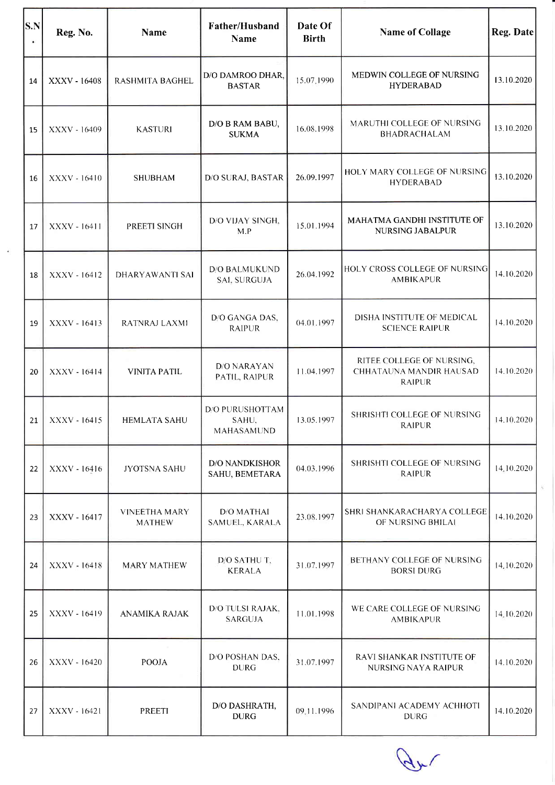| S.N | Reg. No.       | <b>Name</b>                           | Father/Husband<br>Name                        | Date Of<br><b>Birth</b> | <b>Name of Collage</b>                                                       | Reg. Date  |
|-----|----------------|---------------------------------------|-----------------------------------------------|-------------------------|------------------------------------------------------------------------------|------------|
| 14  | XXXV - 16408   | <b>RASHMITA BAGHEL</b>                | D/O DAMROO DHAR,<br><b>BASTAR</b>             | 15.07.1990              | MEDWIN COLLEGE OF NURSING<br><b>HYDERABAD</b>                                | 13.10.2020 |
| 15  | XXXV - 16409   | <b>KASTURI</b>                        | D/O B RAM BABU,<br><b>SUKMA</b>               | 16.08.1998              | MARUTHI COLLEGE OF NURSING<br><b>BHADRACHALAM</b>                            | 13.10.2020 |
| 16  | XXXV - 16410   | <b>SHUBHAM</b>                        | D/O SURAJ, BASTAR                             | 26.09.1997              | HOLY MARY COLLEGE OF NURSING<br><b>HYDERABAD</b>                             | 13.10.2020 |
| 17  | XXXV - 16411   | PREETI SINGH                          | D/O VIJAY SINGH,<br>M.P                       | 15.01.1994              | MAHATMA GANDHI INSTITUTE OF<br><b>NURSING JABALPUR</b>                       | 13.10.2020 |
| 18  | XXXV - 16412   | <b>DHARYAWANTI SAI</b>                | <b>D/O BALMUKUND</b><br>SAI, SURGUJA          | 26.04.1992              | HOLY CROSS COLLEGE OF NURSING<br><b>AMBIKAPUR</b>                            | 14.10.2020 |
| 19  | XXXV - 16413   | RATNRAJ LAXMI                         | D/O GANGA DAS,<br><b>RAIPUR</b>               | 04.01.1997              | DISHA INSTITUTE OF MEDICAL<br><b>SCIENCE RAIPUR</b>                          | 14.10.2020 |
| 20  | XXXV - 16414   | <b>VINITA PATIL</b>                   | <b>D/O NARAYAN</b><br>PATIL, RAIPUR           | 11.04.1997              | RITEE COLLEGE OF NURSING.<br><b>CHHATAUNA MANDIR HAUSAD</b><br><b>RAIPUR</b> | 14.10.2020 |
| 21  | XXXV - 16415   | <b>HEMLATA SAHU</b>                   | <b>D/O PURUSHOTTAM</b><br>SAHU,<br>MAHASAMUND | 13.05.1997              | SHRISHTI COLLEGE OF NURSING<br>RAIPUR                                        | 14.10.2020 |
| 22  | XXXV - 16416   | <b>JYOTSNA SAHU</b>                   | <b>D/O NANDKISHOR</b><br>SAHU, BEMETARA       | 04.03.1996              | SHRISHTI COLLEGE OF NURSING<br><b>RAIPUR</b>                                 | 14.10.2020 |
| 23  | XXXV - 16417   | <b>VINEETHA MARY</b><br><b>MATHEW</b> | <b>D/O MATHAI</b><br>SAMUEL, KARALA           | 23.08.1997              | SHRI SHANKARACHARYA COLLEGE<br>OF NURSING BHILAI                             | 14.10.2020 |
| 24  | XXXV - 16418   | <b>MARY MATHEW</b>                    | D/O SATHU T,<br><b>KERALA</b>                 | 31.07.1997              | BETHANY COLLEGE OF NURSING<br><b>BORSI DURG</b>                              | 14,10.2020 |
| 25  | XXXV - 16419   | ANAMIKA RAJAK                         | D/O TULSI RAJAK,<br><b>SARGUJA</b>            | 11.01.1998              | WE CARE COLLEGE OF NURSING<br><b>AMBIKAPUR</b>                               | 14.10.2020 |
| 26  | $XXXV - 16420$ | POOJA                                 | D/O POSHAN DAS,<br><b>DURG</b>                | 31.07.1997              | RAVI SHANKAR INSTITUTE OF<br>NURSING NAYA RAIPUR                             | 14.10.2020 |
| 27  | XXXV - 16421   | <b>PREETI</b>                         | D/O DASHRATH,<br><b>DURG</b>                  | 09.11.1996              | SANDIPANI ACADEMY ACHHOTI<br><b>DURG</b>                                     | 14.10.2020 |

ar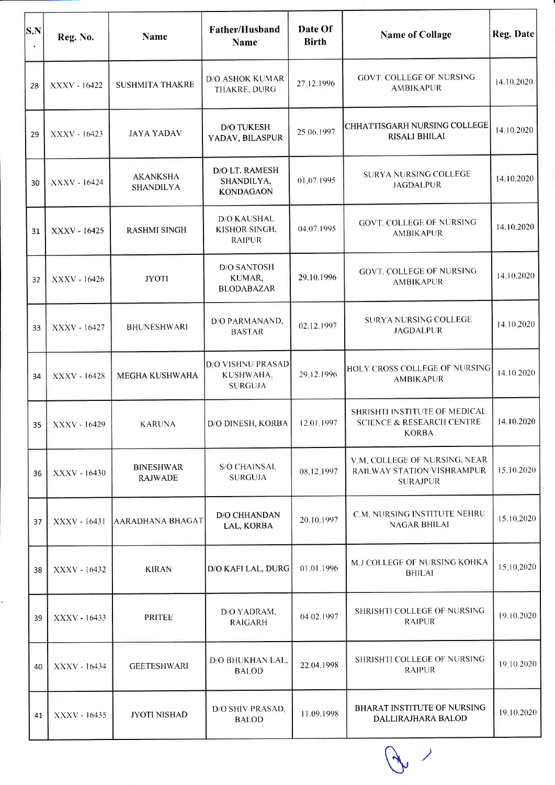

| S.N<br>۰ | Reg. No.     | Name                                | <b>Father/Husband</b><br>Name                        | Date Of<br><b>Birth</b> | <b>Name of Collage</b>                                                                | Reg. Date  |
|----------|--------------|-------------------------------------|------------------------------------------------------|-------------------------|---------------------------------------------------------------------------------------|------------|
| 28       | XXXV - 16422 | <b>SUSHMITA THAKRE</b>              | <b>D/O ASHOK KUMAR</b><br>THAKRE, DURG               | 27.12.1996              | <b>GOVT. COLLEGE OF NURSING</b><br><b>AMBIKAPUR</b>                                   | 14.10.2020 |
| 29       | XXXV - 16423 | <b>JAYA YADAV</b>                   | <b>D/O TUKESH</b><br>YADAV, BILASPUR                 | 25.06.1997              | CHHATTISGARH NURSING COLLEGE<br><b>RISALI BHILAI</b>                                  | 14.10.2020 |
| 30       | XXXV - 16424 | <b>AKANKSHA</b><br><b>SHANDILYA</b> | D/O LT. RAMESH<br>SHANDILYA,<br><b>KONDAGAON</b>     | 01:07.1995              | SURYA NURSING COLLEGE<br><b>JAGDALPUR</b>                                             | 14.10.2020 |
| 31       | XXXV - 16425 | <b>RASHMI SINGH</b>                 | <b>D/O KAUSHAL</b><br>KISHOR SINGH,<br><b>RAIPUR</b> | 04.07.1995              | <b>GOVT. COLLEGE OF NURSING</b><br><b>AMBIKAPUR</b>                                   | 14.10.2020 |
| 32       | XXXV - 16426 | <b>JYOTI</b>                        | <b>D/O SANTOSH</b><br>KUMAR,<br><b>BLODABAZAR</b>    | 29.10.1996              | <b>GOVT. COLLEGE OF NURSING</b><br><b>AMBIKAPUR</b>                                   | 14.10.2020 |
| 33       | XXXV - 16427 | <b>BHUNESHWARI</b>                  | D/O PARMANAND,<br><b>BASTAR</b>                      | 02.12.1997              | <b>SURYA NURSING COLLEGE</b><br><b>JAGDALPUR</b>                                      | 14.10.2020 |
| 34       | XXXV - 16428 | <b>MEGHA KUSHWAHA</b>               | D/O VISHNU PRASAD<br>KUSHWAHA,<br><b>SURGUJA</b>     | 29,12.1996              | HOLY CROSS COLLEGE OF NURSING<br><b>AMBIKAPUR</b>                                     | 14.10.2020 |
| 35       | XXXV - 16429 | <b>KARUNA</b>                       | D/O DINESH, KORBA                                    | 12.01.1997              | SHRISHTI INSTITUTE OF MEDICAL<br><b>SCIENCE &amp; RESEARCH CENTRE</b><br><b>KORBA</b> | 14.10.2020 |
| 36       | XXXV - 16430 | <b>BINESHWAR</b><br><b>RAJWADE</b>  | S/O CHAINSAI,<br><b>SURGUJA</b>                      | 08.12.1997              | V.M. COLLEGE OF NURSING, NEAR<br>RAILWAY STATION VISHRAMPUR<br><b>SURAJPUR</b>        | 15.10.2020 |
| 37       | XXXV - 16431 | AARADHANA BHAGAT                    | D/O CHHANDAN<br>LAL, KORBA                           | 20.10.1997              | C.M. NURSING INSTITUTE NEHRU<br><b>NAGAR BHILAI</b>                                   | 15.10.2020 |
| 38       | XXXV - 16432 | <b>KIRAN</b>                        | D/O KAFI LAL, DURG                                   | 01.01.1996              | M.J COLLEGE OF NURSING KOHKA<br><b>BHILAI</b>                                         | 15:10.2020 |
| 39       | XXXV - 16433 | <b>PRITEE</b>                       | D/O YADRAM,<br><b>RAIGARH</b>                        | 04.02.1997              | SHRISHTI COLLEGE OF NURSING<br><b>RAIPUR</b>                                          | 19.10.2020 |
| 40       | XXXV - 16434 | <b>GEETESHWARI</b>                  | D/O BHUKHAN LAL,<br><b>BALOD</b>                     | 22.04.1998              | SHRISHTI COLLEGE OF NURSING<br><b>RAIPUR</b>                                          | 19.10.2020 |
| 41       | XXXV - 16435 | <b>JYOTI NISHAD</b>                 | D/O SHIV PRASAD,<br><b>BALOD</b>                     | 11.09.1998              | <b>BHARAT INSTITUTE OF NURSING</b><br>DALLIRAJHARA BALOD                              | 19,10.2020 |

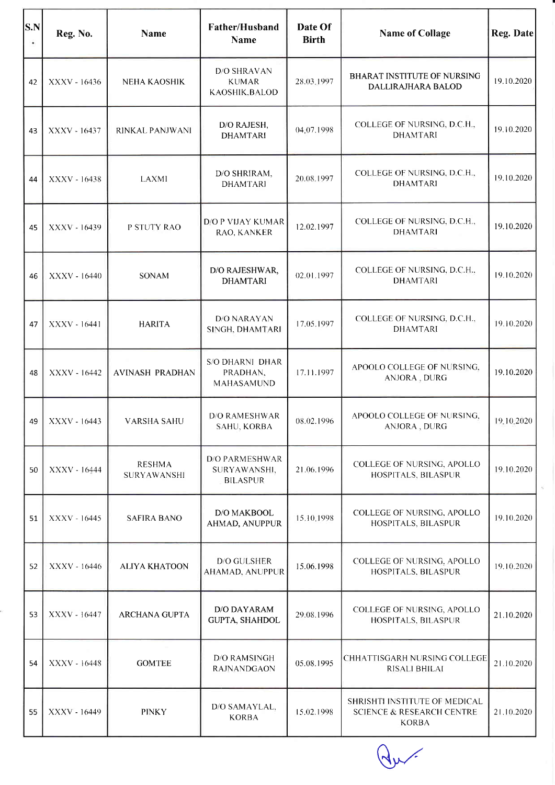| S.N | Reg. No.     | <b>Name</b>                  | Father/Husband<br><b>Name</b>                     | Date Of<br><b>Birth</b> | <b>Name of Collage</b>                                                                       | <b>Reg. Date</b> |
|-----|--------------|------------------------------|---------------------------------------------------|-------------------------|----------------------------------------------------------------------------------------------|------------------|
| 42  | XXXV - 16436 | NEHA KAOSHIK                 | D/O SHRAVAN<br><b>KUMAR</b><br>KAOSHIK, BALOD     | 28.03.1997              | BHARAT INSTITUTE OF NURSING<br>DALLIRAJHARA BALOD                                            | 19.10.2020       |
| 43  | XXXV - 16437 | RINKAL PANJWANI              | D/O RAJESH,<br><b>DHAMTARI</b>                    | 04.07.1998              | COLLEGE OF NURSING, D.C.H.,<br><b>DHAMTARI</b>                                               | 19.10.2020       |
| 44  | XXXV - 16438 | LAXMI                        | D/O SHRIRAM,<br><b>DHAMTARI</b>                   | 20.08.1997              | COLLEGE OF NURSING, D.C.H.,<br><b>DHAMTARI</b>                                               | 19.10.2020       |
| 45  | XXXV - 16439 | P STUTY RAO                  | <b>D/O P VIJAY KUMAR</b><br>RAO, KANKER           | 12.02.1997              | COLLEGE OF NURSING, D.C.H.,<br><b>DHAMTARI</b>                                               | 19.10.2020       |
| 46  | XXXV - 16440 | SONAM                        | D/O RAJESHWAR,<br><b>DHAMTARI</b>                 | 02.01.1997              | COLLEGE OF NURSING, D.C.H.,<br><b>DHAMTARI</b>                                               | 19.10.2020       |
| 47  | XXXV - 16441 | <b>HARITA</b>                | <b>D/O NARAYAN</b><br>SINGH, DHAMTARI             | 17.05.1997              | COLLEGE OF NURSING, D.C.H.,<br><b>DHAMTARI</b>                                               | 19.10.2020       |
| 48  | XXXV - 16442 | <b>AVINASH PRADHAN</b>       | <b>S/O DHARNI DHAR</b><br>PRADHAN,<br>MAHASAMUND  | 17.11.1997              | APOOLO COLLEGE OF NURSING,<br>ANJORA, DURG                                                   | 19.10.2020       |
| 49  | XXXV - 16443 | <b>VARSHA SAHU</b>           | D/O RAMESHWAR<br>SAHU, KORBA                      | 08.02.1996              | APOOLO COLLEGE OF NURSING,<br>ANJORA , DURG                                                  | 19.10.2020       |
| 50  | XXXV - 16444 | <b>RESHMA</b><br>SURYAWANSHI | D/O PARMESHWAR<br>SURYAWANSHI,<br><b>BILASPUR</b> | 21.06.1996              | COLLEGE OF NURSING, APOLLO<br>HOSPITALS, BILASPUR                                            | 19.10.2020       |
| 51  | XXXV - 16445 | <b>SAFIRA BANO</b>           | D/O MAKBOOL<br>AHMAD, ANUPPUR                     | 15.10.1998              | COLLEGE OF NURSING, APOLLO<br>HOSPITALS, BILASPUR                                            | 19.10.2020       |
| 52  | XXXV - 16446 | <b>ALIYA KHATOON</b>         | D/O GULSHER<br><b>AHAMAD, ANUPPUR</b>             | 15.06.1998              | COLLEGE OF NURSING, APOLLO<br>HOSPITALS, BILASPUR                                            | 19.10.2020       |
| 53  | XXXV - 16447 | <b>ARCHANA GUPTA</b>         | <b>D/O DAYARAM</b><br><b>GUPTA, SHAHDOL</b>       | 29.08.1996              | COLLEGE OF NURSING, APOLLO<br>HOSPITALS, BILASPUR                                            | 21.10.2020       |
| 54  | XXXV - 16448 | <b>GOMTEE</b>                | <b>D/O RAMSINGH</b><br><b>RAJNANDGAON</b>         | 05.08.1995              | CHHATTISGARH NURSING COLLEGE<br>RISALI BHILAI                                                | 21.10.2020       |
| 55  | XXXV - 16449 | <b>PINKY</b>                 | D/O SAMAYLAL,<br><b>KORBA</b>                     | 15.02.1998              | <b>SHRISHTI INSTITUTE OF MEDICAL</b><br><b>SCIENCE &amp; RESEARCH CENTRE</b><br><b>KORBA</b> | 21.10.2020       |

 $Q_{\mu}$ 

 $\tilde{h}$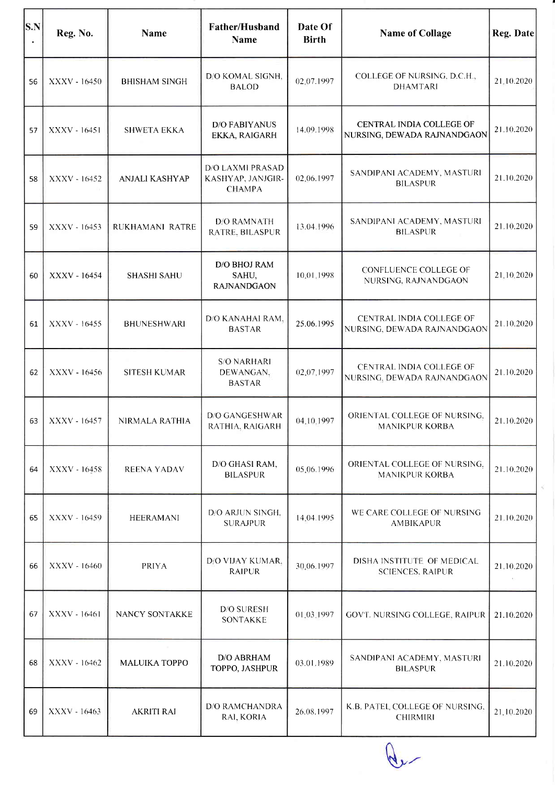| $ {\bf S. N} $ | Reg. No.     | <b>Name</b>          | Father/Husband<br><b>Name</b>                                 | Date Of<br><b>Birth</b> | <b>Name of Collage</b>                                  | Reg. Date  |
|----------------|--------------|----------------------|---------------------------------------------------------------|-------------------------|---------------------------------------------------------|------------|
| 56             | XXXV - 16450 | <b>BHISHAM SINGH</b> | D/O KOMAL SIGNH,<br><b>BALOD</b>                              | 02,07.1997              | COLLEGE OF NURSING, D.C.H.,<br><b>DHAMTARI</b>          | 21.10.2020 |
| 57             | XXXV - 16451 | <b>SHWETA EKKA</b>   | <b>D/O FABIYANUS</b><br>EKKA, RAIGARH                         | 14.09.1998              | CENTRAL INDIA COLLEGE OF<br>NURSING, DEWADA RAJNANDGAON | 21.10.2020 |
| 58             | XXXV - 16452 | ANJALI KASHYAP       | <b>D/O LAXMI PRASAD</b><br>KASHYAP, JANJGIR-<br><b>CHAMPA</b> | 02.06.1997              | SANDIPANI ACADEMY, MASTURI<br><b>BILASPUR</b>           | 21.10.2020 |
| 59             | XXXV - 16453 | RUKHAMANI RATRE      | <b>D/O RAMNATH</b><br>RATRE, BILASPUR                         | 13.04.1996              | SANDIPANI ACADEMY, MASTURI<br><b>BILASPUR</b>           | 21.10.2020 |
| 60             | XXXV - 16454 | <b>SHASHI SAHU</b>   | D/O BHOJ RAM<br>SAHU,<br><b>RAJNANDGAON</b>                   | 10.01.1998              | CONFLUENCE COLLEGE OF<br>NURSING, RAJNANDGAON           | 21,10,2020 |
| 61             | XXXV - 16455 | <b>BHUNESHWARI</b>   | D/O KANAHAI RAM,<br><b>BASTAR</b>                             | 25.06.1995              | CENTRAL INDIA COLLEGE OF<br>NURSING, DEWADA RAJNANDGAON | 21.10.2020 |
| 62             | XXXV - 16456 | <b>SITESH KUMAR</b>  | <b>S/O NARHARI</b><br>DEWANGAN,<br><b>BASTAR</b>              | 02.07.1997              | CENTRAL INDIA COLLEGE OF<br>NURSING, DEWADA RAJNANDGAON | 21.10.2020 |
| 63             | XXXV - 16457 | NIRMALA RATHIA       | <b>D/O GANGESHWAR</b><br>RATHIA, RAIGARH                      | 04.10.1997              | ORIENTAL COLLEGE OF NURSING,<br><b>MANIKPUR KORBA</b>   | 21.10.2020 |
| 64             | XXXV - 16458 | <b>REENA YADAV</b>   | D/O GHASI RAM,<br><b>BILASPUR</b>                             | 05:06.1996              | ORIENTAL COLLEGE OF NURSING.<br><b>MANIKPUR KORBA</b>   | 21.10.2020 |
| 65             | XXXV - 16459 | <b>HEERAMANI</b>     | D/O ARJUN SINGH,<br><b>SURAJPUR</b>                           | 14.04.1995              | WE CARE COLLEGE OF NURSING<br><b>AMBIKAPUR</b>          | 21.10.2020 |
| 66             | XXXV - 16460 | <b>PRIYA</b>         | D/O VIJAY KUMAR,<br><b>RAIPUR</b>                             | 30.06.1997              | DISHA INSTITUTE OF MEDICAL<br><b>SCIENCES, RAIPUR</b>   | 21.10.2020 |
| 67             | XXXV - 16461 | NANCY SONTAKKE       | <b>D/O SURESH</b><br>SONTAKKE                                 | 01.03.1997              | GOVT. NURSING COLLEGE, RAIPUR                           | 21.10.2020 |
| 68             | XXXV - 16462 | <b>MALUIKA TOPPO</b> | D/O ABRHAM<br>TOPPO, JASHPUR                                  | 03.01.1989              | SANDIPANI ACADEMY, MASTURI<br><b>BILASPUR</b>           | 21.10.2020 |
| 69             | XXXV - 16463 | <b>AKRITI RAI</b>    | <b>D/O RAMCHANDRA</b><br>RAI, KORIA                           | 26.08.1997              | K.B. PATEL COLLEGE OF NURSING,<br><b>CHIRMIRI</b>       | 21.10.2020 |

Que